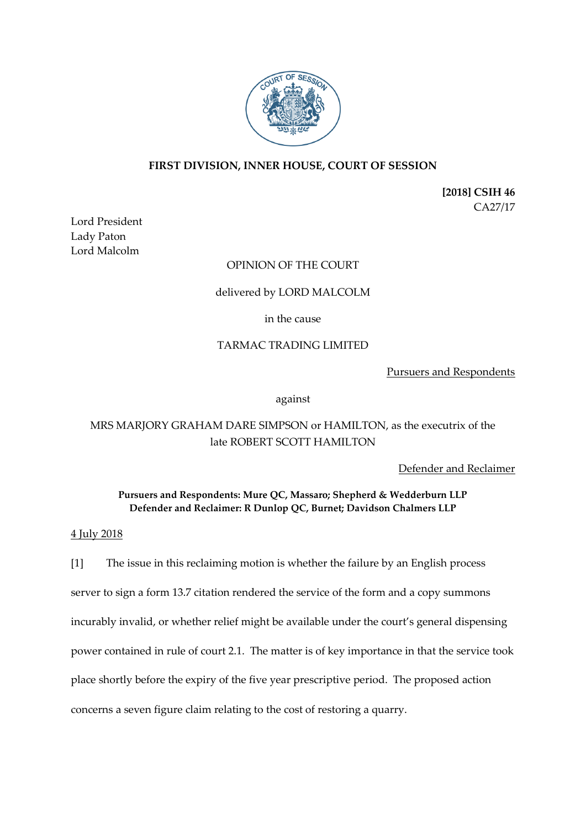

## **FIRST DIVISION, INNER HOUSE, COURT OF SESSION**

**[2018] CSIH 46** CA27/17

Lord President Lady Paton Lord Malcolm

### OPINION OF THE COURT

#### delivered by LORD MALCOLM

in the cause

### TARMAC TRADING LIMITED

Pursuers and Respondents

against

# MRS MARJORY GRAHAM DARE SIMPSON or HAMILTON, as the executrix of the late ROBERT SCOTT HAMILTON

Defender and Reclaimer

#### **Pursuers and Respondents: Mure QC, Massaro; Shepherd & Wedderburn LLP Defender and Reclaimer: R Dunlop QC, Burnet; Davidson Chalmers LLP**

#### 4 July 2018

[1] The issue in this reclaiming motion is whether the failure by an English process server to sign a form 13.7 citation rendered the service of the form and a copy summons incurably invalid, or whether relief might be available under the court's general dispensing power contained in rule of court 2.1. The matter is of key importance in that the service took place shortly before the expiry of the five year prescriptive period. The proposed action concerns a seven figure claim relating to the cost of restoring a quarry.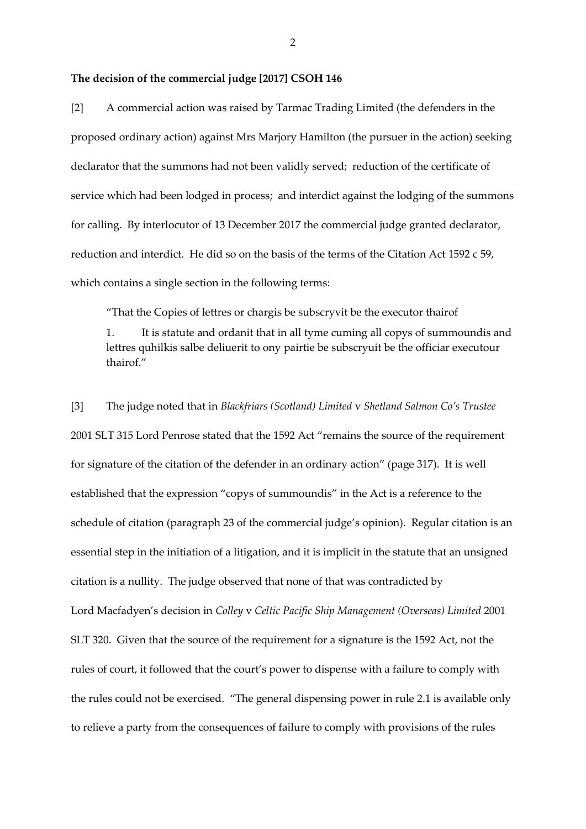## **The decision of the commercial judge [2017] CSOH 146**

[2] A commercial action was raised by Tarmac Trading Limited (the defenders in the proposed ordinary action) against Mrs Marjory Hamilton (the pursuer in the action) seeking declarator that the summons had not been validly served; reduction of the certificate of service which had been lodged in process; and interdict against the lodging of the summons for calling. By interlocutor of 13 December 2017 the commercial judge granted declarator, reduction and interdict. He did so on the basis of the terms of the Citation Act 1592 c 59, which contains a single section in the following terms:

"That the Copies of lettres or chargis be subscryvit be the executor thairof 1. It is statute and ordanit that in all tyme cuming all copys of summoundis and lettres quhilkis salbe deliuerit to ony pairtie be subscryuit be the officiar executour thairof."

[3] The judge noted that in *Blackfriars (Scotland) Limited* v *Shetland Salmon Co's Trustee* 2001 SLT 315 Lord Penrose stated that the 1592 Act "remains the source of the requirement for signature of the citation of the defender in an ordinary action" (page 317). It is well established that the expression "copys of summoundis" in the Act is a reference to the schedule of citation (paragraph 23 of the commercial judge's opinion). Regular citation is an essential step in the initiation of a litigation, and it is implicit in the statute that an unsigned citation is a nullity. The judge observed that none of that was contradicted by Lord Macfadyen's decision in *Colley* v *Celtic Pacific Ship Management (Overseas) Limited* 2001 SLT 320. Given that the source of the requirement for a signature is the 1592 Act, not the rules of court, it followed that the court's power to dispense with a failure to comply with the rules could not be exercised. "The general dispensing power in rule 2.1 is available only to relieve a party from the consequences of failure to comply with provisions of the rules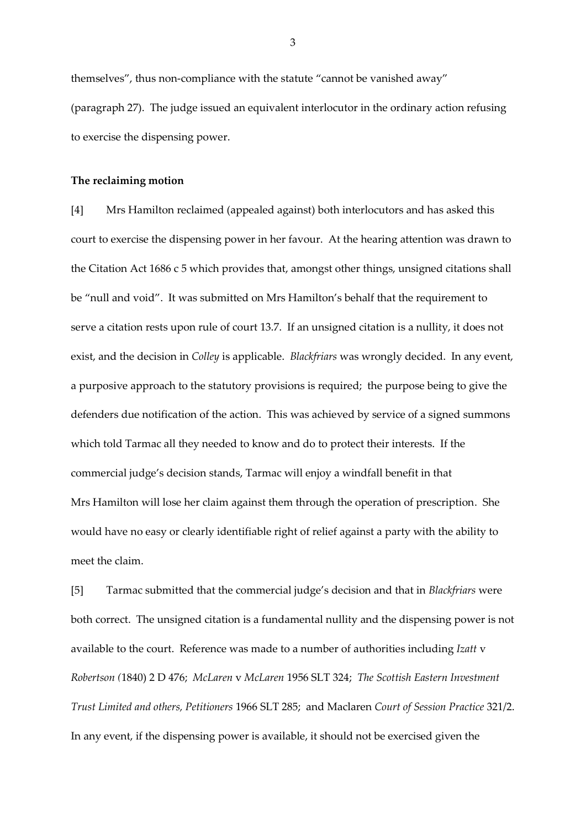themselves", thus non-compliance with the statute "cannot be vanished away" (paragraph 27). The judge issued an equivalent interlocutor in the ordinary action refusing to exercise the dispensing power.

#### **The reclaiming motion**

[4] Mrs Hamilton reclaimed (appealed against) both interlocutors and has asked this court to exercise the dispensing power in her favour. At the hearing attention was drawn to the Citation Act 1686 c 5 which provides that, amongst other things, unsigned citations shall be "null and void". It was submitted on Mrs Hamilton's behalf that the requirement to serve a citation rests upon rule of court 13.7. If an unsigned citation is a nullity, it does not exist, and the decision in *Colley* is applicable. *Blackfriars* was wrongly decided. In any event, a purposive approach to the statutory provisions is required; the purpose being to give the defenders due notification of the action. This was achieved by service of a signed summons which told Tarmac all they needed to know and do to protect their interests. If the commercial judge's decision stands, Tarmac will enjoy a windfall benefit in that Mrs Hamilton will lose her claim against them through the operation of prescription. She would have no easy or clearly identifiable right of relief against a party with the ability to meet the claim.

[5] Tarmac submitted that the commercial judge's decision and that in *Blackfriars* were both correct. The unsigned citation is a fundamental nullity and the dispensing power is not available to the court. Reference was made to a number of authorities including *Izatt* v *Robertson (*1840) 2 D 476; *McLaren* v *McLaren* 1956 SLT 324; *The Scottish Eastern Investment Trust Limited and others, Petitioners* 1966 SLT 285; and Maclaren *Court of Session Practice* 321/2. In any event, if the dispensing power is available, it should not be exercised given the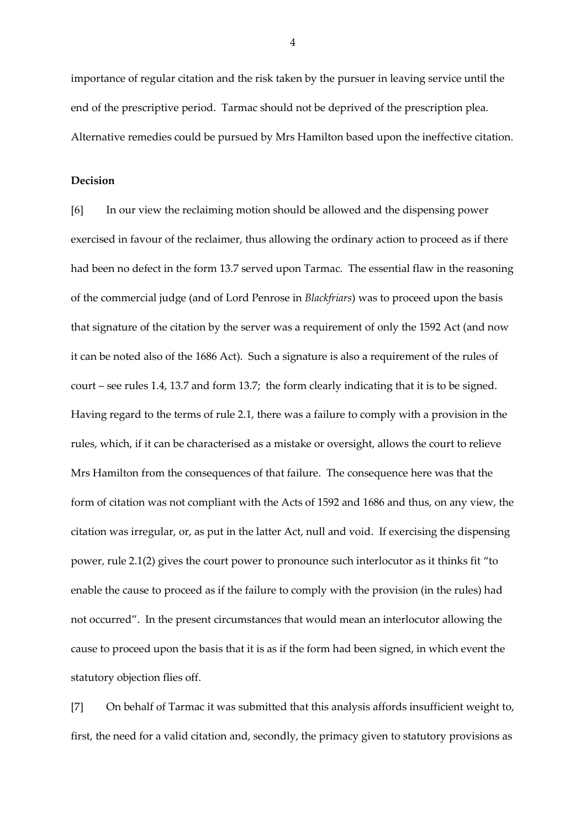importance of regular citation and the risk taken by the pursuer in leaving service until the end of the prescriptive period. Tarmac should not be deprived of the prescription plea. Alternative remedies could be pursued by Mrs Hamilton based upon the ineffective citation.

### **Decision**

[6] In our view the reclaiming motion should be allowed and the dispensing power exercised in favour of the reclaimer, thus allowing the ordinary action to proceed as if there had been no defect in the form 13.7 served upon Tarmac. The essential flaw in the reasoning of the commercial judge (and of Lord Penrose in *Blackfriars*) was to proceed upon the basis that signature of the citation by the server was a requirement of only the 1592 Act (and now it can be noted also of the 1686 Act). Such a signature is also a requirement of the rules of court – see rules 1.4, 13.7 and form 13.7; the form clearly indicating that it is to be signed. Having regard to the terms of rule 2.1, there was a failure to comply with a provision in the rules, which, if it can be characterised as a mistake or oversight, allows the court to relieve Mrs Hamilton from the consequences of that failure. The consequence here was that the form of citation was not compliant with the Acts of 1592 and 1686 and thus, on any view, the citation was irregular, or, as put in the latter Act, null and void. If exercising the dispensing power, rule 2.1(2) gives the court power to pronounce such interlocutor as it thinks fit "to enable the cause to proceed as if the failure to comply with the provision (in the rules) had not occurred". In the present circumstances that would mean an interlocutor allowing the cause to proceed upon the basis that it is as if the form had been signed, in which event the statutory objection flies off.

[7] On behalf of Tarmac it was submitted that this analysis affords insufficient weight to, first, the need for a valid citation and, secondly, the primacy given to statutory provisions as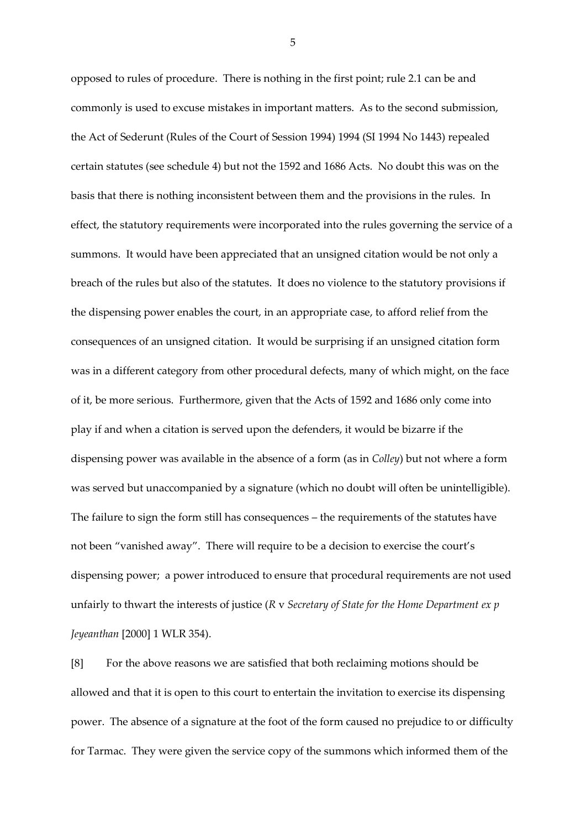opposed to rules of procedure. There is nothing in the first point; rule 2.1 can be and commonly is used to excuse mistakes in important matters. As to the second submission, the Act of Sederunt (Rules of the Court of Session 1994) 1994 (SI 1994 No 1443) repealed certain statutes (see schedule 4) but not the 1592 and 1686 Acts. No doubt this was on the basis that there is nothing inconsistent between them and the provisions in the rules. In effect, the statutory requirements were incorporated into the rules governing the service of a summons. It would have been appreciated that an unsigned citation would be not only a breach of the rules but also of the statutes. It does no violence to the statutory provisions if the dispensing power enables the court, in an appropriate case, to afford relief from the consequences of an unsigned citation. It would be surprising if an unsigned citation form was in a different category from other procedural defects, many of which might, on the face of it, be more serious. Furthermore, given that the Acts of 1592 and 1686 only come into play if and when a citation is served upon the defenders, it would be bizarre if the dispensing power was available in the absence of a form (as in *Colley*) but not where a form was served but unaccompanied by a signature (which no doubt will often be unintelligible). The failure to sign the form still has consequences – the requirements of the statutes have not been "vanished away". There will require to be a decision to exercise the court's dispensing power; a power introduced to ensure that procedural requirements are not used unfairly to thwart the interests of justice (*R* v *Secretary of State for the Home Department ex p Jeyeanthan* [2000] 1 WLR 354).

[8] For the above reasons we are satisfied that both reclaiming motions should be allowed and that it is open to this court to entertain the invitation to exercise its dispensing power. The absence of a signature at the foot of the form caused no prejudice to or difficulty for Tarmac. They were given the service copy of the summons which informed them of the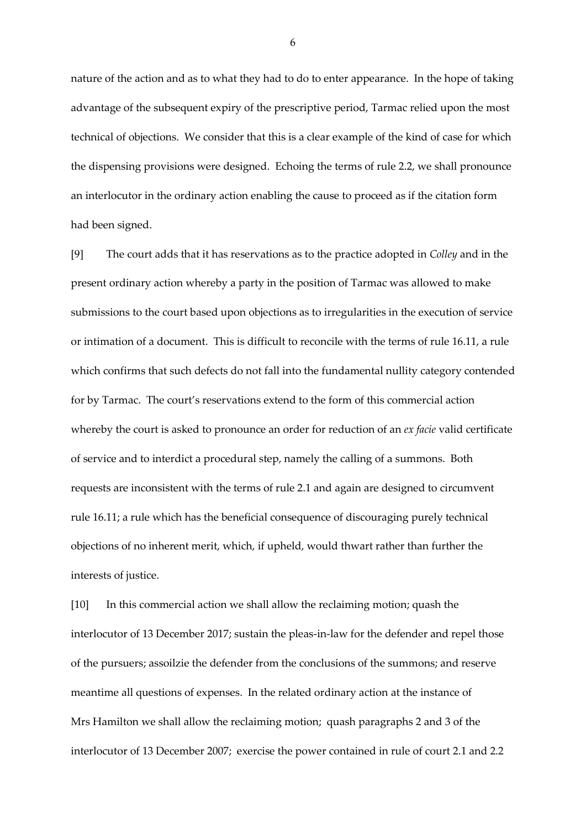nature of the action and as to what they had to do to enter appearance. In the hope of taking advantage of the subsequent expiry of the prescriptive period, Tarmac relied upon the most technical of objections. We consider that this is a clear example of the kind of case for which the dispensing provisions were designed. Echoing the terms of rule 2.2, we shall pronounce an interlocutor in the ordinary action enabling the cause to proceed as if the citation form had been signed.

[9] The court adds that it has reservations as to the practice adopted in *Colley* and in the present ordinary action whereby a party in the position of Tarmac was allowed to make submissions to the court based upon objections as to irregularities in the execution of service or intimation of a document. This is difficult to reconcile with the terms of rule 16.11, a rule which confirms that such defects do not fall into the fundamental nullity category contended for by Tarmac. The court's reservations extend to the form of this commercial action whereby the court is asked to pronounce an order for reduction of an *ex facie* valid certificate of service and to interdict a procedural step, namely the calling of a summons. Both requests are inconsistent with the terms of rule 2.1 and again are designed to circumvent rule 16.11; a rule which has the beneficial consequence of discouraging purely technical objections of no inherent merit, which, if upheld, would thwart rather than further the interests of justice.

[10] In this commercial action we shall allow the reclaiming motion; quash the interlocutor of 13 December 2017; sustain the pleas-in-law for the defender and repel those of the pursuers; assoilzie the defender from the conclusions of the summons; and reserve meantime all questions of expenses. In the related ordinary action at the instance of Mrs Hamilton we shall allow the reclaiming motion; quash paragraphs 2 and 3 of the interlocutor of 13 December 2007; exercise the power contained in rule of court 2.1 and 2.2